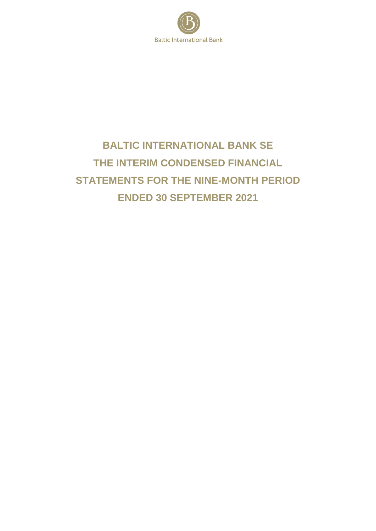

# **BALTIC INTERNATIONAL BANK SE THE INTERIM CONDENSED FINANCIAL STATEMENTS FOR THE NINE-MONTH PERIOD ENDED 30 SEPTEMBER 2021**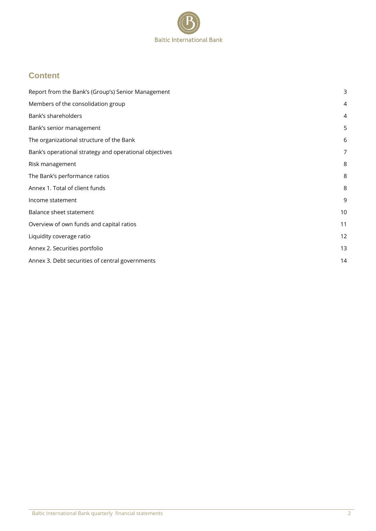

## **Content**

| Report from the Bank's (Group's) Senior Management     | 3  |
|--------------------------------------------------------|----|
| Members of the consolidation group                     | 4  |
| Bank's shareholders                                    | 4  |
| Bank's senior management                               | 5  |
| The organizational structure of the Bank               | 6  |
| Bank's operational strategy and operational objectives | 7  |
| Risk management                                        | 8  |
| The Bank's performance ratios                          | 8  |
| Annex 1. Total of client funds                         | 8  |
| Income statement                                       | 9  |
| Balance sheet statement                                | 10 |
| Overview of own funds and capital ratios               | 11 |
| Liquidity coverage ratio                               | 12 |
| Annex 2. Securities portfolio                          | 13 |
| Annex 3. Debt securities of central governments        | 14 |
|                                                        |    |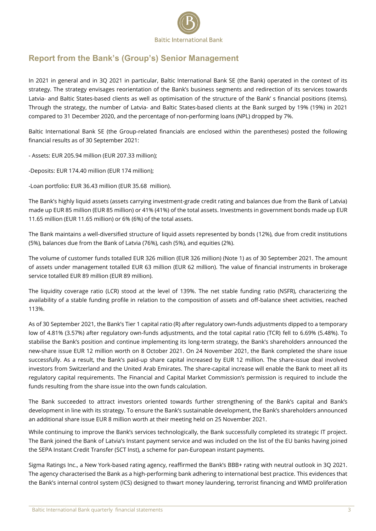

# <span id="page-2-0"></span>**Report from the Bank's (Group's) Senior Management**

<span id="page-2-1"></span>In 2021 in general and in 3Q 2021 in particular, Baltic International Bank SE (the Bank) operated in the context of its strategy. The strategy envisages reorientation of the Bank's business segments and redirection of its services towards Latvia- and Baltic States-based clients as well as optimisation of the structure of the Bank' s financial positions (items). Through the strategy, the number of Latvia- and Baltic States-based clients at the Bank surged by 19% (19%) in 2021 compared to 31 December 2020, and the percentage of non-performing loans (NPL) dropped by 7%.

Baltic International Bank SE (the Group-related financials are enclosed within the parentheses) posted the following financial results as of 30 September 2021:

- Assets: EUR 205.94 million (EUR 207.33 million);

-Deposits: EUR 174.40 million (EUR 174 million);

-Loan portfolio: EUR 36.43 million (EUR 35.68 million).

The Bank's highly liquid assets (assets carrying investment-grade credit rating and balances due from the Bank of Latvia) made up EUR 85 million (EUR 85 million) or 41% (41%) of the total assets. Investments in government bonds made up EUR 11.65 million (EUR 11.65 million) or 6% (6%) of the total assets.

The Bank maintains a well-diversified structure of liquid assets represented by bonds (12%), due from credit institutions (5%), balances due from the Bank of Latvia (76%), cash (5%), and equities (2%).

The volume of customer funds totalled EUR 326 million (EUR 326 million) (Note 1) as of 30 September 2021. The amount of assets under management totalled EUR 63 million (EUR 62 million). The value of financial instruments in brokerage service totalled EUR 89 million (EUR 89 million).

The liquidity coverage ratio (LCR) stood at the level of 139%. The net stable funding ratio (NSFR), characterizing the availability of a stable funding profile in relation to the composition of assets and off-balance sheet activities, reached 113%.

As of 30 September 2021, the Bank's Tier 1 capital ratio (R) after regulatory own-funds adjustments dipped to a temporary low of 4.81% (3.57%) after regulatory own-funds adjustments, and the total capital ratio (TCR) fell to 6.69% (5.48%). To stabilise the Bank's position and continue implementing its long-term strategy, the Bank's shareholders announced the new-share issue EUR 12 million worth on 8 October 2021. On 24 November 2021, the Bank completed the share issue successfully. As a result, the Bank's paid-up share capital increased by EUR 12 million. The share-issue deal involved investors from Switzerland and the United Arab Emirates. The share-capital increase will enable the Bank to meet all its regulatory capital requirements. The Financial and Capital Market Commission's permission is required to include the funds resulting from the share issue into the own funds calculation.

The Bank succeeded to attract investors oriented towards further strengthening of the Bank's capital and Bank's development in line with its strategy. To ensure the Bank's sustainable development, the Bank's shareholders announced an additional share issue EUR 8 million worth at their meeting held on 25 November 2021.

While continuing to improve the Bank's services technologically, the Bank successfully completed its strategic IT project. The Bank joined the Bank of Latvia's Instant payment service and was included on the list of the EU banks having joined the SEPA Instant Credit Transfer (SCT Inst), a scheme for pan-European instant payments.

Sigma Ratings Inc., a New York-based rating agency, reaffirmed the Bank's BBB+ rating with neutral outlook in 3Q 2021. The agency characterised the Bank as a high-performing bank adhering to international best practice. This evidences that the Bank's internal control system (ICS) designed to thwart money laundering, terrorist financing and WMD proliferation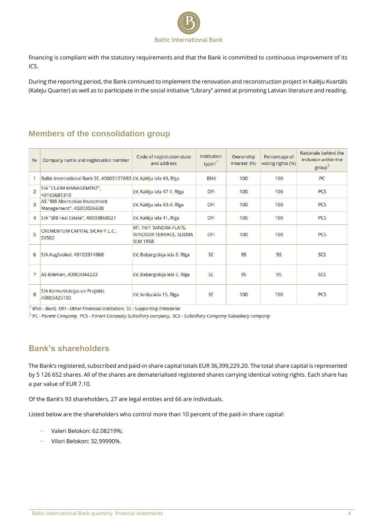

financing is compliant with the statutory requirements and that the Bank is committed to continuous improvement of its ICS.

During the reporting period, the Bank continued to implement the renovation and reconstruction project in Kalēju Kvartāls (Kaleju Quarter) as well as to participate in the social initiative "Library" aimed at promoting Latvian literature and reading.

### **Members of the consolidation group**

<span id="page-3-0"></span>

| N <sub>2</sub> | Company name and registration number                               | Code of registration state<br>and address                                   | Institution<br>type $1^1$ | Ownership<br>interest (%) | Percentage of<br>voting rights (%) | Rationale behind the<br>inclusion within the<br>group <sup>2</sup> |
|----------------|--------------------------------------------------------------------|-----------------------------------------------------------------------------|---------------------------|---------------------------|------------------------------------|--------------------------------------------------------------------|
|                | Baltic International Bank SE, 40003127883 LV, Kalēju iela 43, Rīga |                                                                             | <b>BNK</b>                | 100                       | 100                                | PC                                                                 |
| $\overline{2}$ | SIA "CLAIM MANAGEMENT",<br>40103681310                             | LV, Kalēju iela 47-1, Rīga                                                  | OFI                       | 100                       | 100                                | <b>PCS</b>                                                         |
| 3              | AS "BIB Alternative Investment<br>Management", 40203036638         | LV, Kalēju iela 43-4, Rīga                                                  | OFI                       | 100                       | 100                                | <b>PCS</b>                                                         |
| 4              | SIA "BIB real Estate", 40003868021                                 | LV, Kalēju iela 41, Rīga                                                    | OFI                       | 100                       | 100                                | <b>PCS</b>                                                         |
| 5              | CREMENTUM CAPITAL SICAV P.L.C.,<br><b>SV502</b>                    | MT, 16/1 SANDRA FLATS,<br><b>WINDSOR TERRACE, SLIEMA</b><br><b>SLM 1858</b> | OFI                       | 100                       | 100                                | <b>PCS</b>                                                         |
| 6              | SIA Augšvoleri, 40103314868                                        | LV, Beķergrāvja iela 5, Rīga                                                | <b>SE</b>                 | 95                        | 95                                 | <b>SCS</b>                                                         |
| 7              | AS Krēmeri, 40003044223                                            | LV, Bekergrāvja iela 5, Rīga                                                | <b>SE</b>                 | 95                        | 95                                 | <b>SCS</b>                                                         |
| 8              | SIA Komunikācijas un Projekti,<br>40003425103                      | LV, leriku iela 15, Rīga                                                    | <b>SE</b>                 | 100                       | 100                                | <b>PCS</b>                                                         |

<sup>1</sup> BNK - Bank, OFI - Other Financial Institution, SE - Supporting Enterprise

<sup>2</sup> PC - Parent Company, PCS - Parent Compaby Subsidiary company, SCS - Subsidiary Company Subsidiary company

# **Bank's shareholders**

<span id="page-3-1"></span>The Bank's registered, subscribed and paid-in share capital totals EUR 36,399,229.20. The total share capital is represented by 5 126 652 shares. All of the shares are dematerialised registered shares carrying identical voting rights. Each share has a par value of EUR 7.10.

Of the Bank's 93 shareholders, 27 are legal entities and 66 are individuals.

Listed below are the shareholders who control more than 10 percent of the paid-in share capital:

- Valeri Belokon: 62.08219%;
- Vilori Belokon: 32.99990%.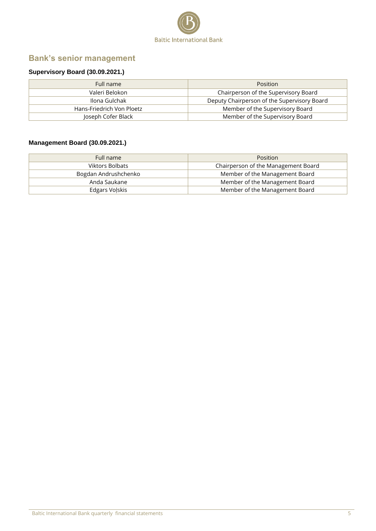

# **Bank's senior management**

### **Supervisory Board (30.09.2021.)**

| Full name                 | <b>Position</b>                             |
|---------------------------|---------------------------------------------|
| Valeri Belokon            | Chairperson of the Supervisory Board        |
| Ilona Gulchak             | Deputy Chairperson of the Supervisory Board |
| Hans-Friedrich Von Ploetz | Member of the Supervisory Board             |
| Joseph Cofer Black        | Member of the Supervisory Board             |

### **Management Board (30.09.2021.)**

| Full name              | <b>Position</b>                     |
|------------------------|-------------------------------------|
| <b>Viktors Bolbats</b> | Chairperson of the Management Board |
| Bogdan Andrushchenko   | Member of the Management Board      |
| Anda Saukane           | Member of the Management Board      |
| Edgars Volskis         | Member of the Management Board      |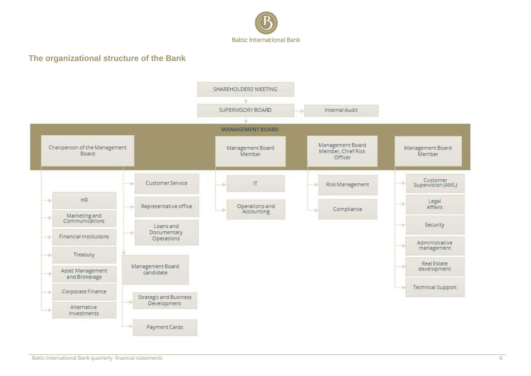

### **The organizational structure of the Bank**

<span id="page-5-0"></span>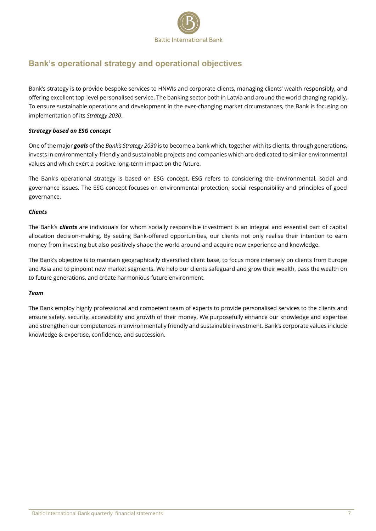

# <span id="page-6-0"></span>**Bank's operational strategy and operational objectives**

Bank's strategy is to provide bespoke services to HNWIs and corporate clients, managing clients' wealth responsibly, and offering excellent top-level personalised service. The banking sector both in Latvia and around the world changing rapidly. To ensure sustainable operations and development in the ever-changing market circumstances, the Bank is focusing on implementation of its *Strategy 2030*.

#### *Strategy based on ESG concept*

One of the major *goals* of the *Bank's Strategy 2030* is to become a bank which, together with its clients, through generations, invests in environmentally-friendly and sustainable projects and companies which are dedicated to similar environmental values and which exert a positive long-term impact on the future.

The Bank's operational strategy is based on ESG concept. ESG refers to considering the environmental, social and governance issues. The ESG concept focuses on environmental protection, social responsibility and principles of good governance.

#### *Clients*

The Bank's *clients* are individuals for whom socially responsible investment is an integral and essential part of capital allocation decision-making. By seizing Bank-offered opportunities, our clients not only realise their intention to earn money from investing but also positively shape the world around and acquire new experience and knowledge.

The Bank's objective is to maintain geographically diversified client base, to focus more intensely on clients from Europe and Asia and to pinpoint new market segments. We help our clients safeguard and grow their wealth, pass the wealth on to future generations, and create harmonious future environment.

#### *Team*

The Bank employ highly professional and competent team of experts to provide personalised services to the clients and ensure safety, security, accessibility and growth of their money. We purposefully enhance our knowledge and expertise and strengthen our competences in environmentally friendly and sustainable investment. Bank's corporate values include knowledge & expertise, confidence, and succession.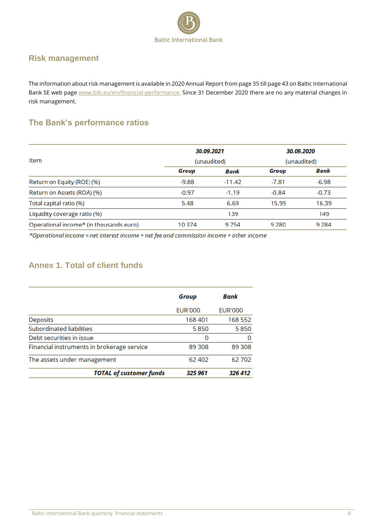

### <span id="page-7-0"></span>**Risk management**

The information about risk management is available in 2020 Annual Report from page 35 till page 43 on Baltic International Bank SE web page [www.bib.eu/en/financial-performance.](http://www.bib.eu/en/financial-performance) Since 31 December 2020 there are no any material changes in risk management.

# <span id="page-7-1"></span>**The Bank's performance ratios**

|                                         |             | 30.09.2021  | 30.09.2020 |         |
|-----------------------------------------|-------------|-------------|------------|---------|
| Item                                    | (unaudited) | (unaudited) |            |         |
|                                         | Group       | Bank        | Group      | Bank    |
| Return on Equity (ROE) (%)              | $-9.88$     | $-11.42$    | $-7.81$    | $-6.98$ |
| Return on Assets (ROA) (%)              | $-0.97$     | $-1.19$     | $-0.84$    | $-0.73$ |
| Total capital ratio (%)                 | 5.48        | 6.69        | 15.99      | 16.39   |
| Liquidity coverage ratio (%)            |             | 139         |            | 149     |
| Operational income* (in thousands euro) | 10374       | 9754        | 9 2 8 0    | 9 2 8 4 |
|                                         |             |             |            |         |

\*Operational income = net interest income + net fee and commission income + other income

# <span id="page-7-2"></span>**Annex 1. Total of client funds**

|                                            | Group          | Bank           |
|--------------------------------------------|----------------|----------------|
|                                            | <b>EUR'000</b> | <b>EUR'000</b> |
| <b>Deposits</b>                            | 168401         | 168 552        |
| Subordinated liabilities                   | 5850           | 5850           |
| Debt securities in issue                   | 0              | 0              |
| Financial instruments in brokerage service | 89 30 8        | 89 30 8        |
| The assets under management                | 62 402         | 62702          |
| <b>TOTAL of customer funds</b>             | 325 961        | 326 412        |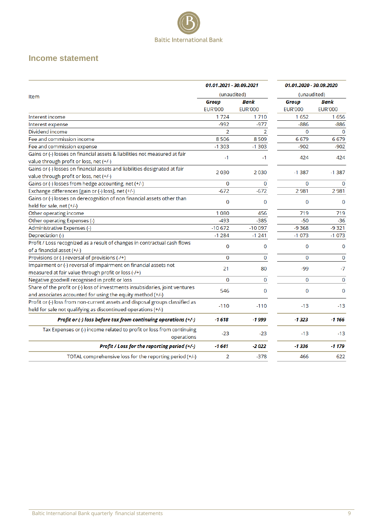

### <span id="page-8-0"></span>**Income statement**

<span id="page-8-1"></span>

|                                                                                    | 01.01.2021 - 30.09.2021 |                | 01.01.2020 - 30.09.2020 |                |
|------------------------------------------------------------------------------------|-------------------------|----------------|-------------------------|----------------|
|                                                                                    | (unaudited)             |                | (unaudited)             |                |
| Item                                                                               | <b>Group</b>            | Bank           | Group                   | Bank           |
|                                                                                    | <b>EUR'000</b>          | <b>EUR'000</b> | <b>EUR'000</b>          | <b>EUR'000</b> |
| Interest income                                                                    | 1724                    | 1710           | 1652                    | 1656           |
| Interest expense                                                                   | $-992$                  | $-977$         | $-886$                  | $-886$         |
| Dividend income                                                                    | $\overline{2}$          | $\overline{2}$ | $\mathbf 0$             | $\Omega$       |
| Fee and commission income                                                          | 8506                    | 8509           | 6679                    | 6679           |
| Fee and commission expense                                                         | $-1303$                 | $-1303$        | $-902$                  | $-902$         |
| Gains or (-) losses on financial assets & liabilities not measured at fair         | $-1$                    | $-1$           |                         |                |
| value through profit or loss, net (+/-)                                            |                         |                | 424                     | 424            |
| Gains or (-) losses on financial assets and liabilities designated at fair         | 2030                    | 2030           | $-1387$                 | $-1387$        |
| value through profit or loss, net (+/-)                                            |                         |                |                         |                |
| Gains or (-) losses from hedge accounting, net (+/-)                               | 0                       | 0              | $\mathbf 0$             | $\Omega$       |
| Exchange differences [gain or (-) loss], net (+/-)                                 | $-672$                  | $-672$         | 2981                    | 2981           |
| Gains or (-) losses on derecognition of non financial assets other than            | $\mathbf 0$             | $\Omega$       | $\mathbf 0$             | $\mathbf 0$    |
| held for sale, net (+/-)                                                           |                         |                |                         |                |
| Other operating income                                                             | 1080                    | 456            | 719                     | 719            |
| Other operating Expenses (-)                                                       | $-493$                  | $-385$         | $-50$                   | $-36$          |
| Administrative Expenses (-)                                                        | $-10672$                | $-10097$       | $-9368$                 | $-9321$        |
| Depreciation (-)                                                                   | $-1284$                 | $-1241$        | $-1073$                 | $-1073$        |
| Profit / Loss recognized as a result of changes in contractual cash flows          | 0                       | $\mathbf 0$    | 0                       | 0              |
| of a financial asset (+/-)                                                         |                         |                |                         |                |
| Provisions or (-) reversal of provisions (-/+)                                     | 0                       | 0              | $\mathbf 0$             | 0              |
| Impairment or (-) reversal of impairment on financial assets not                   | 21                      | 80             | $-99$                   | $-7$           |
| measured at fair value through profit or loss (-/+)                                |                         |                |                         |                |
| Negative goodwill recognised in profit or loss                                     | $\mathbf 0$             | 0              | $\mathbf 0$             | 0              |
| Share of the profit or (-) loss of investments insubsidaries, joint ventures       | 546                     | 0              | 0                       | 0              |
| and associates accounted for using the equity method (+/-)                         |                         |                |                         |                |
| Profit or (-) loss from non-current assets and disposal groups classified as       | $-110$                  | $-110$         | $-13$                   | $-13$          |
| held for sale not qualifying as discontinued operations (+/-)                      |                         |                |                         |                |
| Profit or (-) loss before tax from continuing operations (+/-)                     | $-1618$                 | $-1999$        | $-1323$                 | $-1166$        |
| Tax Expenses or (-) income related to profit or loss from continuing<br>operations | $-23$                   | $-23$          | $-13$                   | $-13$          |
| Profit / Loss for the reporting period (+/-)                                       | $-1641$                 | $-2022$        | $-1336$                 | $-1179$        |
| TOTAL comprehensive loss for the reporting period (+/-)                            | 2                       | $-378$         | 466                     | 622            |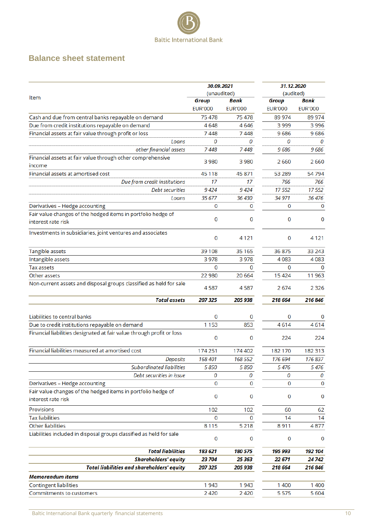

### **Balance sheet statement**

|                                                                       | 30.09.2021     |                | 31.12.2020     |                |
|-----------------------------------------------------------------------|----------------|----------------|----------------|----------------|
| Item                                                                  | (unaudited)    |                | (audited)      |                |
|                                                                       | Group          | Bank           | Group          | Bank           |
|                                                                       | <b>EUR'000</b> | <b>EUR'000</b> | <b>EUR'000</b> | <b>EUR'000</b> |
| Cash and due from central banks repayable on demand                   | 75478          | 75478          | 89 974         | 89 974         |
| Due from credit institutions repayable on demand                      | 4648           | 4646           | 3999           | 3996           |
| Financial assets at fair value through profit or loss                 | 7448           | 7448           | 9686           | 9686           |
| Loans                                                                 | 0              | 0              | 0              | 0              |
| other financial assets                                                | 7448           | 7 448          | 9686           | 9686           |
| Financial assets at fair value through other comprehensive<br>income  | 3980           | 3980           | 2660           | 2660           |
| Financial assets at amortised cost                                    | 45 1 18        | 45 871         | 53 289         | 54794          |
| Due from credit institutions                                          | 17             | 17             | 766            | 766            |
| <b>Debt securities</b>                                                | 9424           | 9 424          | 17552          | 17552          |
| Loans                                                                 | 35 677         | 36 430         | 34 971         | 36 476         |
| Derivatives - Hedge accounting                                        | 0              | 0              | 0              | 0              |
| Fair value changes of the hedged items in portfolio hedge of          |                |                |                |                |
| interest rate risk                                                    | 0              | 0              | 0              | 0              |
| Investments in subsidiaries, joint ventures and associates            | 0              | 4121           | 0              | 4 1 2 1        |
| Tangible assets                                                       | 39 108         | 35 1 65        | 36875          | 33 243         |
| Intangible assets                                                     | 3978           | 3978           | 4083           | 4083           |
| <b>Tax assets</b>                                                     | 0              | 0              | 0              | 0              |
| Other assets                                                          | 22 980         | 20 6 64        | 15424          | 11963          |
| Non-current assets and disposal groups classified as held for sale    | 4587           | 4587           | 2674           | 2 3 2 6        |
| <b>Total assets</b>                                                   | 207 325        | 205 938        | 218 664        | 216846         |
| Liabilities to central banks                                          | 0              | 0              | 0              | 0              |
| Due to credit institutions repayable on demand                        | 1 1 5 3        | 853            | 4614           | 4614           |
| Financial liabilities designated at fair value through profit or loss | 0              | 0              | 224            | 224            |
| Financial liabilities measured at amortised cost                      | 174 251        | 174 402        | 182 170        | 182 313        |
| <b>Deposits</b>                                                       | 168 401        | 168 552        | 176 694        | 176 837        |
| <b>Subordinated liabilities</b>                                       | 5 8 5 0        | 5 8 5 0        | 5476           | 5476           |
| Debt securities in issue                                              | 0              | 0              | 0              | 0              |
| Derivatives - Hedge accounting                                        | 0              | 0              | 0              | 0              |
| Fair value changes of the hedged items in portfolio hedge of          |                |                |                |                |
| interest rate risk                                                    | 0              | 0              | 0              | 0              |
| Provisions                                                            | 102            | 102            | 60             | 62             |
| <b>Tax liabilities</b>                                                | 0              | 0              | 14             | 14             |
| <b>Other liabilities</b>                                              | 8115           | 5 2 1 8        | 8911           | 4877           |
| Liabilities included in disposal groups classified as held for sale   | 0              | 0              | 0              | 0              |
| <b>Total liabilities</b>                                              | 183 621        | 180 575        | 195 993        | 192 104        |
| <b>Shareholders' equity</b>                                           | 23 704         | 25 363         | 22 671         | 24 742         |
| <b>Total liabilities and shareholders' equity</b>                     | 207 325        | 205 938        | 218 664        | 216 846        |
| <b>Memorandum items</b>                                               |                |                |                |                |
| <b>Contingent liabilities</b>                                         | 1943           | 1943           | 1 400          | 1400           |
| Commitments to customers                                              | 2 4 2 0        | 2420           | 5575           | 5604           |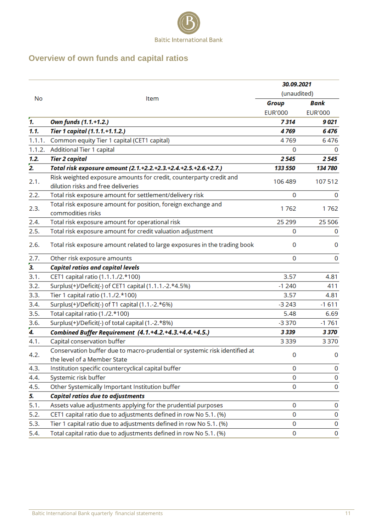

# <span id="page-10-0"></span>**Overview of own funds and capital ratios**

|                  |                                                                                                          | 30.09.2021     |                |  |
|------------------|----------------------------------------------------------------------------------------------------------|----------------|----------------|--|
|                  |                                                                                                          | (unaudited)    |                |  |
| No               | Item                                                                                                     | Group          | Bank           |  |
|                  |                                                                                                          | <b>EUR'000</b> | <b>EUR'000</b> |  |
| 7.               | Own funds (1.1.+1.2.)                                                                                    | 7314           | 9 021          |  |
| 1.1.             | Tier 1 capital (1.1.1.+1.1.2.)                                                                           | 4769           | 6476           |  |
| 1.1.1.           | Common equity Tier 1 capital (CET1 capital)                                                              | 4769           | 6476           |  |
| 1.1.2.           | <b>Additional Tier 1 capital</b>                                                                         | 0              | 0              |  |
| 1.2.             | <b>Tier 2 capital</b>                                                                                    | 2545           | 2545           |  |
| $\overline{2}$ . | Total risk exposure amount (2.1.+2.2.+2.3.+2.4.+2.5.+2.6.+2.7.)                                          | 133 550        | 134 780        |  |
| 2.1.             | Risk weighted exposure amounts for credit, counterparty credit and<br>dilution risks and free deliveries | 106 489        | 107512         |  |
| 2.2.             | Total risk exposure amount for settlement/delivery risk                                                  | 0              | 0              |  |
| 2.3.             | Total risk exposure amount for position, foreign exchange and<br>commodities risks                       | 1762           | 1762           |  |
| 2.4.             | Total risk exposure amount for operational risk                                                          | 25 2 9 9       | 25 506         |  |
| 2.5.             | Total risk exposure amount for credit valuation adjustment                                               | 0              | 0              |  |
|                  |                                                                                                          |                |                |  |
| 2.6.             | Total risk exposure amount related to large exposures in the trading book                                | 0              | 0              |  |
| 2.7.             | Other risk exposure amounts                                                                              | 0              | 0              |  |
| 3.               | <b>Capital ratios and capital levels</b>                                                                 |                |                |  |
| 3.1.             | CET1 capital ratio (1.1.1./2.*100)                                                                       | 3.57           | 4.81           |  |
| 3.2.             | Surplus(+)/Deficit(-) of CET1 capital (1.1.1.-2.*4.5%)                                                   | $-1240$        | 411            |  |
| 3.3.             | Tier 1 capital ratio (1.1./2.*100)                                                                       | 3.57           | 4.81           |  |
| 3.4.             | Surplus(+)/Deficit(-) of T1 capital (1.1.-2.*6%)                                                         | $-3243$        | $-1611$        |  |
| 3.5.             | Total capital ratio (1./2.*100)                                                                          | 5.48           | 6.69           |  |
| 3.6.             | Surplus(+)/Deficit(-) of total capital (1.-2.*8%)                                                        | $-3370$        | $-1761$        |  |
| 4.               | Combined Buffer Requirement (4.1.+4.2.+4.3.+4.4.+4.5.)                                                   | 3339           | 3370           |  |
| 4.1.             | Capital conservation buffer                                                                              | 3339           | 3370           |  |
| 4.2.             | Conservation buffer due to macro-prudential or systemic risk identified at                               | 0              | 0              |  |
|                  | the level of a Member State                                                                              |                |                |  |
| 4.3.             | Institution specific countercyclical capital buffer                                                      | 0              | 0              |  |
| 4.4.             | Systemic risk buffer                                                                                     | 0              | 0              |  |
| 4.5.             | Other Systemically Important Institution buffer                                                          | 0              | 0              |  |
| 5.               | <b>Capital ratios due to adjustments</b>                                                                 |                |                |  |
| 5.1.             | Assets value adjustments applying for the prudential purposes                                            | 0              | 0              |  |
| 5.2.             | CET1 capital ratio due to adjustments defined in row No 5.1. (%)                                         | 0              | 0              |  |
| 5.3.             | Tier 1 capital ratio due to adjustments defined in row No 5.1. (%)                                       | 0              | 0              |  |
| 5.4.             | Total capital ratio due to adjustments defined in row No 5.1. (%)                                        | 0              | 0              |  |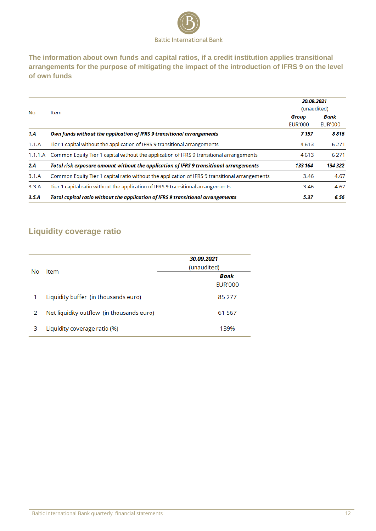

**The information about own funds and capital ratios, if a credit institution applies transitional arrangements for the purpose of mitigating the impact of the introduction of IFRS 9 on the level of own funds** 

|         | <b>Item</b>                                                                                    |         | 30.09.2021<br>(unaudited) |  |  |
|---------|------------------------------------------------------------------------------------------------|---------|---------------------------|--|--|
| No      |                                                                                                |         | Bank<br><b>EUR'000</b>    |  |  |
| 1.A     | Own funds without the application of IFRS 9 transitional arrangements                          | 7 1 5 7 | 8816                      |  |  |
| 1.1.A   | Tier 1 capital without the application of IFRS 9 transitional arrangements                     | 4613    | 6 2 7 1                   |  |  |
| 1.1.1.A | Common Equity Tier 1 capital without the application of IFRS 9 transitional arrangements       | 4613    | 6 2 7 1                   |  |  |
| 2.A     | Total risk exposure amount without the application of IFRS 9 transitional arrangements         | 133 164 | 134 322                   |  |  |
| 3.1.A   | Common Equity Tier 1 capital ratio without the application of IFRS 9 transitional arrangements | 3.46    | 4.67                      |  |  |
| 3.3.A   | Tier 1 capital ratio without the application of IFRS 9 transitional arrangements               | 3.46    | 4.67                      |  |  |
| 3.5.A   | Total capital ratio without the application of IFRS 9 transitional arrangements                | 5.37    | 6.56                      |  |  |
|         |                                                                                                |         |                           |  |  |

# <span id="page-11-0"></span>**Liquidity coverage ratio**

| <b>No</b> | Item                                      | 30.09.2021<br>(unaudited) |
|-----------|-------------------------------------------|---------------------------|
|           |                                           | Bank<br><b>EUR'000</b>    |
| 1         | Liquidity buffer (in thousands euro)      | 85 277                    |
| 2         | Net liquidity outflow (in thousands euro) | 61 567                    |
| 3         | Liquidity coverage ratio (%)              | 139%                      |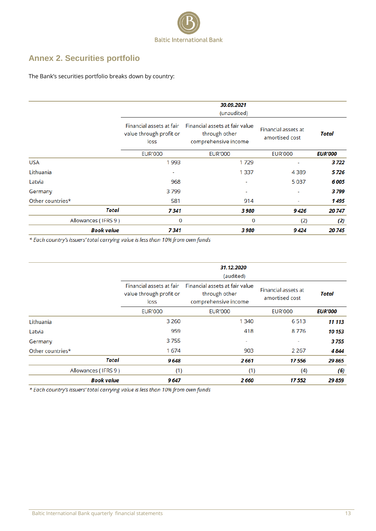<span id="page-12-1"></span>

# <span id="page-12-0"></span>**Annex 2. Securities portfolio**

The Bank's securities portfolio breaks down by country:

|                     |                                                                                                                                        | 30.09.2021<br>(unaudited) |                                       |                |  |
|---------------------|----------------------------------------------------------------------------------------------------------------------------------------|---------------------------|---------------------------------------|----------------|--|
|                     | Financial assets at fair value<br>Financial assets at fair<br>value through profit or<br>through other<br>comprehensive income<br>loss |                           | Financial assets at<br>amortised cost | Total          |  |
|                     | <b>EUR'000</b>                                                                                                                         | <b>EUR'000</b>            | <b>EUR'000</b>                        | <b>EUR'000</b> |  |
| <b>USA</b>          | 1993                                                                                                                                   | 1729                      |                                       | 3 7 2 2        |  |
| Lithuania           | ٠                                                                                                                                      | 1 3 3 7                   | 4389                                  | 5726           |  |
| Latvia              | 968                                                                                                                                    | ٠                         | 5037                                  | 6005           |  |
| Germany             | 3799                                                                                                                                   | ۰                         |                                       | 3799           |  |
| Other countries*    | 581                                                                                                                                    | 914                       | ٠                                     | 1 4 9 5        |  |
| Total               | 7341                                                                                                                                   | 3 980                     | 9426                                  | 20747          |  |
| Allowances (IFRS 9) | 0                                                                                                                                      | $\bf{0}$                  | (2)                                   | (2)            |  |
| <b>Book value</b>   | 7341                                                                                                                                   | 3 980                     | 9424                                  | 20745          |  |

\* Each country's issuers' total carrying value is less than 10% from own funds

|                     | 31.12.2020<br>(audited)                                     |                                                                         |                                       |                |
|---------------------|-------------------------------------------------------------|-------------------------------------------------------------------------|---------------------------------------|----------------|
|                     | Financial assets at fair<br>value through profit or<br>loss | Financial assets at fair value<br>through other<br>comprehensive income | Financial assets at<br>amortised cost | Total          |
|                     | <b>EUR'000</b>                                              | <b>EUR'000</b>                                                          | <b>EUR'000</b>                        | <b>EUR'000</b> |
| Lithuania           | 3 2 6 0                                                     | 1 3 4 0                                                                 | 6513                                  | 11 113         |
| Latvia              | 959                                                         | 418                                                                     | 8776                                  | 10 153         |
| Germany             | 3755                                                        | ٠                                                                       | ٠                                     | 3755           |
| Other countries*    | 1674                                                        | 903                                                                     | 2 2 6 7                               | 4844           |
| Total               | 9648                                                        | 2661                                                                    | 17556                                 | 29 865         |
| Allowances (IFRS 9) | (1)                                                         | (1)                                                                     | (4)                                   | (6)            |
| <b>Book value</b>   | 9647                                                        | 2 6 6 0                                                                 | 17 552                                | 29 859         |

\* Each country's issuers' total carrying value is less than 10% from own funds